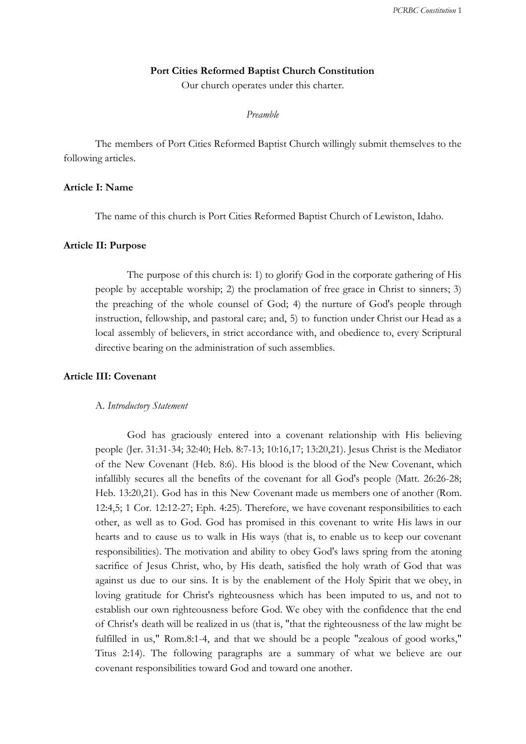# **Port Cities Reformed Baptist Church Constitution**

Our church operates under this charter.

## *Preamble*

The members of Port Cities Reformed Baptist Church willingly submit themselves to the following articles.

# **Article I: Name**

The name of this church is Port Cities Reformed Baptist Church of Lewiston, Idaho.

## **Article II: Purpose**

The purpose of this church is: 1) to glorify God in the corporate gathering of His people by acceptable worship; 2) the proclamation of free grace in Christ to sinners; 3) the preaching of the whole counsel of God; 4) the nurture of God's people through instruction, fellowship, and pastoral care; and, 5) to function under Christ our Head as a local assembly of believers, in strict accordance with, and obedience to, every Scriptural directive bearing on the administration of such assemblies.

## **Article III: Covenant**

#### A. *Introductory Statement*

God has graciously entered into a covenant relationship with His believing people (Jer. 31:31-34; 32:40; Heb. 8:7-13; 10:16,17; 13:20,21). Jesus Christ is the Mediator of the New Covenant (Heb. 8:6). His blood is the blood of the New Covenant, which infallibly secures all the benefits of the covenant for all God's people (Matt. 26:26-28; Heb. 13:20,21). God has in this New Covenant made us members one of another (Rom. 12:4,5; 1 Cor. 12:12-27; Eph. 4:25). Therefore, we have covenant responsibilities to each other, as well as to God. God has promised in this covenant to write His laws in our hearts and to cause us to walk in His ways (that is, to enable us to keep our covenant responsibilities). The motivation and ability to obey God's laws spring from the atoning sacrifice of Jesus Christ, who, by His death, satisfied the holy wrath of God that was against us due to our sins. It is by the enablement of the Holy Spirit that we obey, in loving gratitude for Christ's righteousness which has been imputed to us, and not to establish our own righteousness before God. We obey with the confidence that the end of Christ's death will be realized in us (that is, "that the righteousness of the law might be fulfilled in us," Rom.8:1-4, and that we should be a people "zealous of good works," Titus 2:14). The following paragraphs are a summary of what we believe are our covenant responsibilities toward God and toward one another.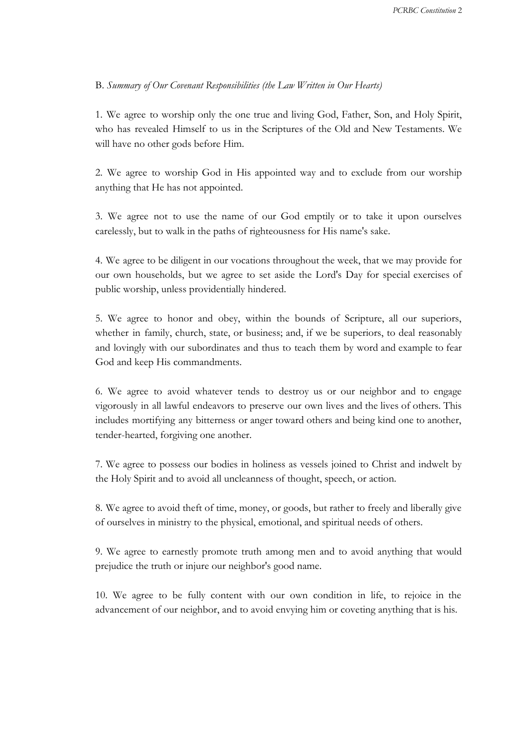# B. *Summary of Our Covenant Responsibilities (the Law Written in Our Hearts)*

1. We agree to worship only the one true and living God, Father, Son, and Holy Spirit, who has revealed Himself to us in the Scriptures of the Old and New Testaments. We will have no other gods before Him.

2. We agree to worship God in His appointed way and to exclude from our worship anything that He has not appointed.

3. We agree not to use the name of our God emptily or to take it upon ourselves carelessly, but to walk in the paths of righteousness for His name's sake.

4. We agree to be diligent in our vocations throughout the week, that we may provide for our own households, but we agree to set aside the Lord's Day for special exercises of public worship, unless providentially hindered.

5. We agree to honor and obey, within the bounds of Scripture, all our superiors, whether in family, church, state, or business; and, if we be superiors, to deal reasonably and lovingly with our subordinates and thus to teach them by word and example to fear God and keep His commandments.

6. We agree to avoid whatever tends to destroy us or our neighbor and to engage vigorously in all lawful endeavors to preserve our own lives and the lives of others. This includes mortifying any bitterness or anger toward others and being kind one to another, tender-hearted, forgiving one another.

7. We agree to possess our bodies in holiness as vessels joined to Christ and indwelt by the Holy Spirit and to avoid all uncleanness of thought, speech, or action.

8. We agree to avoid theft of time, money, or goods, but rather to freely and liberally give of ourselves in ministry to the physical, emotional, and spiritual needs of others.

9. We agree to earnestly promote truth among men and to avoid anything that would prejudice the truth or injure our neighbor's good name.

10. We agree to be fully content with our own condition in life, to rejoice in the advancement of our neighbor, and to avoid envying him or coveting anything that is his.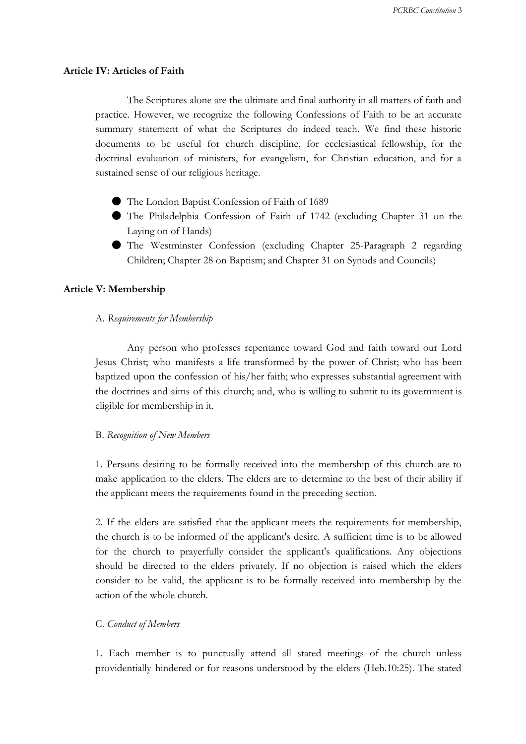## **Article IV: Articles of Faith**

The Scriptures alone are the ultimate and final authority in all matters of faith and practice. However, we recognize the following Confessions of Faith to be an accurate summary statement of what the Scriptures do indeed teach. We find these historic documents to be useful for church discipline, for ecclesiastical fellowship, for the doctrinal evaluation of ministers, for evangelism, for Christian education, and for a sustained sense of our religious heritage.

- The London Baptist Confession of Faith of 1689
- The Philadelphia Confession of Faith of 1742 (excluding Chapter 31 on the Laying on of Hands)
- The Westminster Confession (excluding Chapter 25-Paragraph 2 regarding Children; Chapter 28 on Baptism; and Chapter 31 on Synods and Councils)

#### **Article V: Membership**

A. *Requirements for Membership*

Any person who professes repentance toward God and faith toward our Lord Jesus Christ; who manifests a life transformed by the power of Christ; who has been baptized upon the confession of his/her faith; who expresses substantial agreement with the doctrines and aims of this church; and, who is willing to submit to its government is eligible for membership in it.

## B. *Recognition of New Members*

1. Persons desiring to be formally received into the membership of this church are to make application to the elders. The elders are to determine to the best of their ability if the applicant meets the requirements found in the preceding section.

2. If the elders are satisfied that the applicant meets the requirements for membership, the church is to be informed of the applicant's desire. A sufficient time is to be allowed for the church to prayerfully consider the applicant's qualifications. Any objections should be directed to the elders privately. If no objection is raised which the elders consider to be valid, the applicant is to be formally received into membership by the action of the whole church.

### C. *Conduct of Members*

1. Each member is to punctually attend all stated meetings of the church unless providentially hindered or for reasons understood by the elders (Heb.10:25). The stated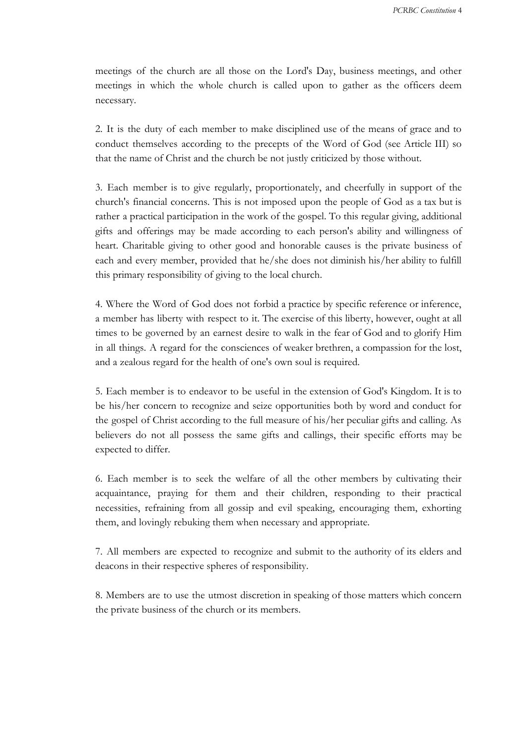meetings of the church are all those on the Lord's Day, business meetings, and other meetings in which the whole church is called upon to gather as the officers deem necessary.

2. It is the duty of each member to make disciplined use of the means of grace and to conduct themselves according to the precepts of the Word of God (see Article III) so that the name of Christ and the church be not justly criticized by those without.

3. Each member is to give regularly, proportionately, and cheerfully in support of the church's financial concerns. This is not imposed upon the people of God as a tax but is rather a practical participation in the work of the gospel. To this regular giving, additional gifts and offerings may be made according to each person's ability and willingness of heart. Charitable giving to other good and honorable causes is the private business of each and every member, provided that he/she does not diminish his/her ability to fulfill this primary responsibility of giving to the local church.

4. Where the Word of God does not forbid a practice by specific reference or inference, a member has liberty with respect to it. The exercise of this liberty, however, ought at all times to be governed by an earnest desire to walk in the fear of God and to glorify Him in all things. A regard for the consciences of weaker brethren, a compassion for the lost, and a zealous regard for the health of one's own soul is required.

5. Each member is to endeavor to be useful in the extension of God's Kingdom. It is to be his/her concern to recognize and seize opportunities both by word and conduct for the gospel of Christ according to the full measure of his/her peculiar gifts and calling. As believers do not all possess the same gifts and callings, their specific efforts may be expected to differ.

6. Each member is to seek the welfare of all the other members by cultivating their acquaintance, praying for them and their children, responding to their practical necessities, refraining from all gossip and evil speaking, encouraging them, exhorting them, and lovingly rebuking them when necessary and appropriate.

7. All members are expected to recognize and submit to the authority of its elders and deacons in their respective spheres of responsibility.

8. Members are to use the utmost discretion in speaking of those matters which concern the private business of the church or its members.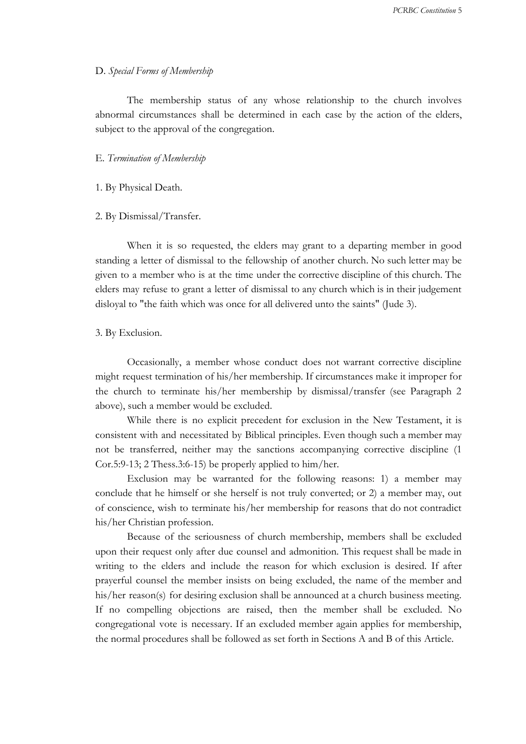## D. *Special Forms of Membership*

The membership status of any whose relationship to the church involves abnormal circumstances shall be determined in each case by the action of the elders, subject to the approval of the congregation.

#### E. *Termination of Membership*

### 1. By Physical Death.

### 2. By Dismissal/Transfer.

When it is so requested, the elders may grant to a departing member in good standing a letter of dismissal to the fellowship of another church. No such letter may be given to a member who is at the time under the corrective discipline of this church. The elders may refuse to grant a letter of dismissal to any church which is in their judgement disloyal to "the faith which was once for all delivered unto the saints" (Jude 3).

### 3. By Exclusion.

Occasionally, a member whose conduct does not warrant corrective discipline might request termination of his/her membership. If circumstances make it improper for the church to terminate his/her membership by dismissal/transfer (see Paragraph 2 above), such a member would be excluded.

While there is no explicit precedent for exclusion in the New Testament, it is consistent with and necessitated by Biblical principles. Even though such a member may not be transferred, neither may the sanctions accompanying corrective discipline (1 Cor.5:9-13; 2 Thess.3:6-15) be properly applied to him/her.

Exclusion may be warranted for the following reasons: 1) a member may conclude that he himself or she herself is not truly converted; or 2) a member may, out of conscience, wish to terminate his/her membership for reasons that do not contradict his/her Christian profession.

Because of the seriousness of church membership, members shall be excluded upon their request only after due counsel and admonition. This request shall be made in writing to the elders and include the reason for which exclusion is desired. If after prayerful counsel the member insists on being excluded, the name of the member and his/her reason(s) for desiring exclusion shall be announced at a church business meeting. If no compelling objections are raised, then the member shall be excluded. No congregational vote is necessary. If an excluded member again applies for membership, the normal procedures shall be followed as set forth in Sections A and B of this Article.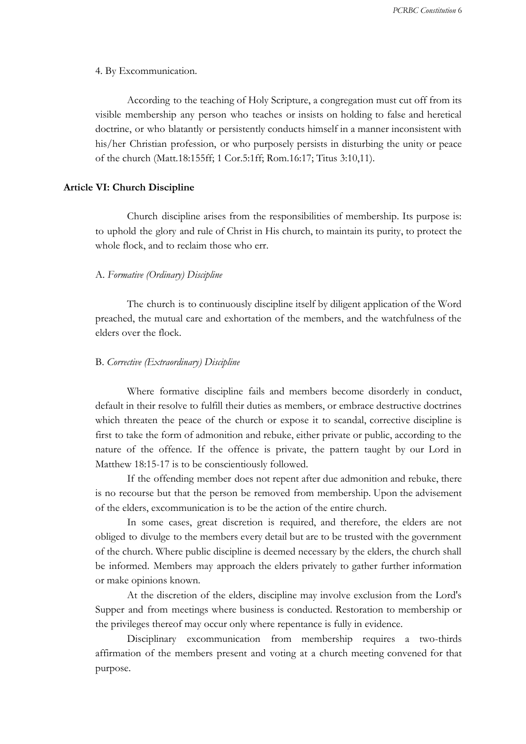4. By Excommunication.

According to the teaching of Holy Scripture, a congregation must cut off from its visible membership any person who teaches or insists on holding to false and heretical doctrine, or who blatantly or persistently conducts himself in a manner inconsistent with his/her Christian profession, or who purposely persists in disturbing the unity or peace of the church (Matt.18:155ff; 1 Cor.5:1ff; Rom.16:17; Titus 3:10,11).

### **Article VI: Church Discipline**

Church discipline arises from the responsibilities of membership. Its purpose is: to uphold the glory and rule of Christ in His church, to maintain its purity, to protect the whole flock, and to reclaim those who err.

## A. *Formative (Ordinary) Discipline*

The church is to continuously discipline itself by diligent application of the Word preached, the mutual care and exhortation of the members, and the watchfulness of the elders over the flock.

### B. *Corrective (Extraordinary) Discipline*

Where formative discipline fails and members become disorderly in conduct, default in their resolve to fulfill their duties as members, or embrace destructive doctrines which threaten the peace of the church or expose it to scandal, corrective discipline is first to take the form of admonition and rebuke, either private or public, according to the nature of the offence. If the offence is private, the pattern taught by our Lord in Matthew 18:15-17 is to be conscientiously followed.

If the offending member does not repent after due admonition and rebuke, there is no recourse but that the person be removed from membership. Upon the advisement of the elders, excommunication is to be the action of the entire church.

In some cases, great discretion is required, and therefore, the elders are not obliged to divulge to the members every detail but are to be trusted with the government of the church. Where public discipline is deemed necessary by the elders, the church shall be informed. Members may approach the elders privately to gather further information or make opinions known.

At the discretion of the elders, discipline may involve exclusion from the Lord's Supper and from meetings where business is conducted. Restoration to membership or the privileges thereof may occur only where repentance is fully in evidence.

Disciplinary excommunication from membership requires a two-thirds affirmation of the members present and voting at a church meeting convened for that purpose.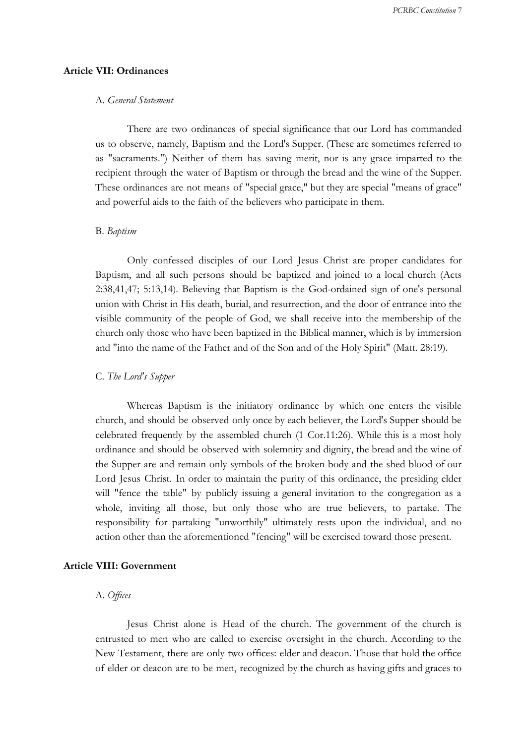# **Article VII: Ordinances**

## A. *General Statement*

There are two ordinances of special significance that our Lord has commanded us to observe, namely, Baptism and the Lord's Supper. (These are sometimes referred to as "sacraments.") Neither of them has saving merit, nor is any grace imparted to the recipient through the water of Baptism or through the bread and the wine of the Supper. These ordinances are not means of "special grace," but they are special "means of grace" and powerful aids to the faith of the believers who participate in them.

### B. *Baptism*

Only confessed disciples of our Lord Jesus Christ are proper candidates for Baptism, and all such persons should be baptized and joined to a local church (Acts 2:38,41,47; 5:13,14). Believing that Baptism is the God-ordained sign of one's personal union with Christ in His death, burial, and resurrection, and the door of entrance into the visible community of the people of God, we shall receive into the membership of the church only those who have been baptized in the Biblical manner, which is by immersion and "into the name of the Father and of the Son and of the Holy Spirit" (Matt. 28:19).

### C. *The Lord's Supper*

Whereas Baptism is the initiatory ordinance by which one enters the visible church, and should be observed only once by each believer, the Lord's Supper should be celebrated frequently by the assembled church (1 Cor.11:26). While this is a most holy ordinance and should be observed with solemnity and dignity, the bread and the wine of the Supper are and remain only symbols of the broken body and the shed blood of our Lord Jesus Christ. In order to maintain the purity of this ordinance, the presiding elder will "fence the table" by publicly issuing a general invitation to the congregation as a whole, inviting all those, but only those who are true believers, to partake. The responsibility for partaking "unworthily" ultimately rests upon the individual, and no action other than the aforementioned "fencing" will be exercised toward those present.

### **Article VIII: Government**

### A. *Of ices*

Jesus Christ alone is Head of the church. The government of the church is entrusted to men who are called to exercise oversight in the church. According to the New Testament, there are only two offices: elder and deacon. Those that hold the office of elder or deacon are to be men, recognized by the church as having gifts and graces to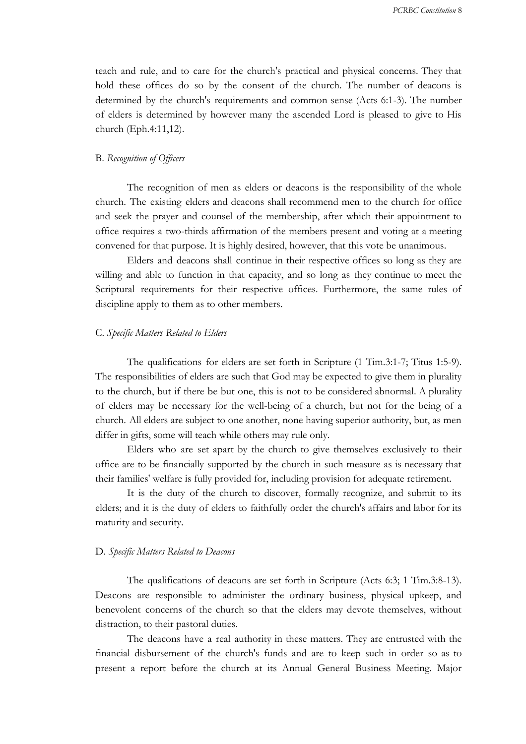teach and rule, and to care for the church's practical and physical concerns. They that hold these offices do so by the consent of the church. The number of deacons is determined by the church's requirements and common sense (Acts 6:1-3). The number of elders is determined by however many the ascended Lord is pleased to give to His church (Eph.4:11,12).

## B. *Recognition of Of icers*

The recognition of men as elders or deacons is the responsibility of the whole church. The existing elders and deacons shall recommend men to the church for office and seek the prayer and counsel of the membership, after which their appointment to office requires a two-thirds affirmation of the members present and voting at a meeting convened for that purpose. It is highly desired, however, that this vote be unanimous.

Elders and deacons shall continue in their respective offices so long as they are willing and able to function in that capacity, and so long as they continue to meet the Scriptural requirements for their respective offices. Furthermore, the same rules of discipline apply to them as to other members.

#### C. *Specific Matters Related to Elders*

The qualifications for elders are set forth in Scripture (1 Tim.3:1-7; Titus 1:5-9). The responsibilities of elders are such that God may be expected to give them in plurality to the church, but if there be but one, this is not to be considered abnormal. A plurality of elders may be necessary for the well-being of a church, but not for the being of a church. All elders are subject to one another, none having superior authority, but, as men differ in gifts, some will teach while others may rule only.

Elders who are set apart by the church to give themselves exclusively to their office are to be financially supported by the church in such measure as is necessary that their families' welfare is fully provided for, including provision for adequate retirement.

It is the duty of the church to discover, formally recognize, and submit to its elders; and it is the duty of elders to faithfully order the church's affairs and labor for its maturity and security.

### D. *Specific Matters Related to Deacons*

The qualifications of deacons are set forth in Scripture (Acts 6:3; 1 Tim.3:8-13). Deacons are responsible to administer the ordinary business, physical upkeep, and benevolent concerns of the church so that the elders may devote themselves, without distraction, to their pastoral duties.

The deacons have a real authority in these matters. They are entrusted with the financial disbursement of the church's funds and are to keep such in order so as to present a report before the church at its Annual General Business Meeting. Major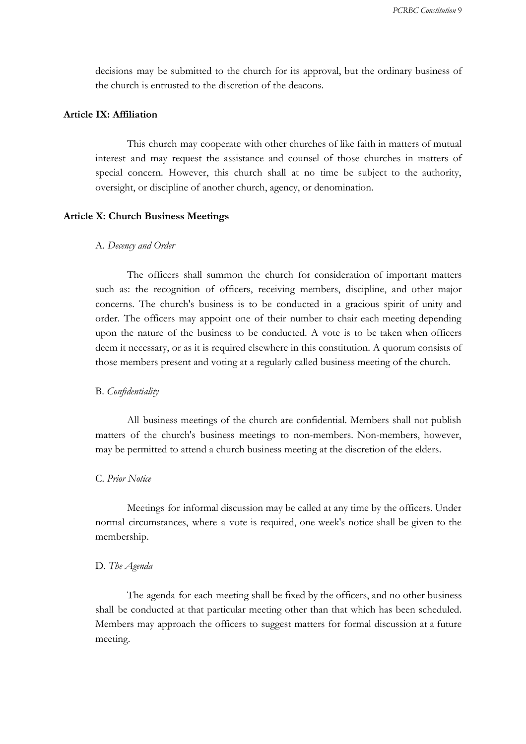decisions may be submitted to the church for its approval, but the ordinary business of the church is entrusted to the discretion of the deacons.

## **Article IX: Affiliation**

This church may cooperate with other churches of like faith in matters of mutual interest and may request the assistance and counsel of those churches in matters of special concern. However, this church shall at no time be subject to the authority, oversight, or discipline of another church, agency, or denomination.

## **Article X: Church Business Meetings**

### A. *Decency and Order*

The officers shall summon the church for consideration of important matters such as: the recognition of officers, receiving members, discipline, and other major concerns. The church's business is to be conducted in a gracious spirit of unity and order. The officers may appoint one of their number to chair each meeting depending upon the nature of the business to be conducted. A vote is to be taken when officers deem it necessary, or as it is required elsewhere in this constitution. A quorum consists of those members present and voting at a regularly called business meeting of the church.

### B. *Confidentiality*

All business meetings of the church are confidential. Members shall not publish matters of the church's business meetings to non-members. Non-members, however, may be permitted to attend a church business meeting at the discretion of the elders.

### C. *Prior Notice*

Meetings for informal discussion may be called at any time by the officers. Under normal circumstances, where a vote is required, one week's notice shall be given to the membership.

### D. *The Agenda*

The agenda for each meeting shall be fixed by the officers, and no other business shall be conducted at that particular meeting other than that which has been scheduled. Members may approach the officers to suggest matters for formal discussion at a future meeting.